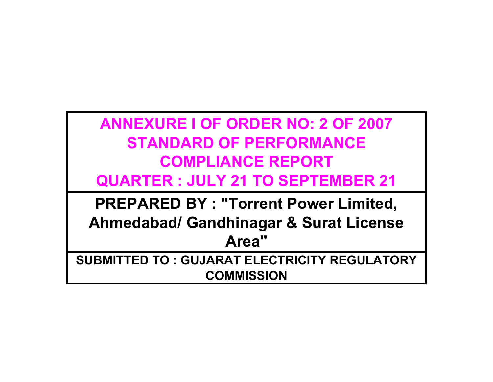| <b>ANNEXURE I OF ORDER NO: 2 OF 2007</b>          |
|---------------------------------------------------|
| <b>STANDARD OF PERFORMANCE</b>                    |
| <b>COMPLIANCE REPORT</b>                          |
| <b>QUARTER: JULY 21 TO SEPTEMBER 21</b>           |
| <b>PREPARED BY: "Torrent Power Limited,</b>       |
| <b>Ahmedabad/ Gandhinagar &amp; Surat License</b> |
| Area"                                             |

**SUBMITTED TO : GUJARAT ELECTRICITY REGULATORY COMMISSION**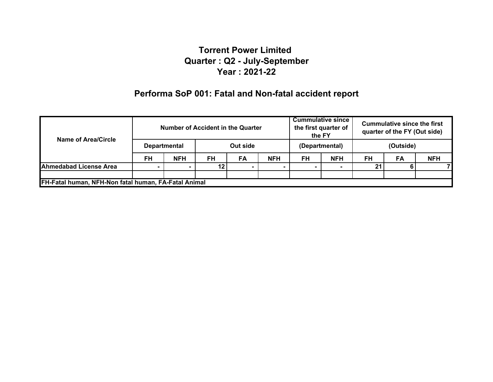# **Performa SoP 001: Fatal and Non-fatal accident report**

| Name of Area/Circle                                  | Number of Accident in the Quarter |                                 |           |           | <b>Cummulative since</b><br>the first quarter of<br>the FY |    | <b>Cummulative since the first</b><br>quarter of the FY (Out side) |           |    |            |
|------------------------------------------------------|-----------------------------------|---------------------------------|-----------|-----------|------------------------------------------------------------|----|--------------------------------------------------------------------|-----------|----|------------|
|                                                      |                                   | Out side<br><b>Departmental</b> |           |           | (Departmental)                                             |    | (Outside)                                                          |           |    |            |
|                                                      | <b>FH</b>                         | <b>NFH</b>                      | <b>FH</b> | <b>FA</b> | <b>NFH</b>                                                 | FH | <b>NFH</b>                                                         | <b>FH</b> | FA | <b>NFH</b> |
| <b>Ahmedabad License Area</b>                        |                                   |                                 |           |           |                                                            |    |                                                                    | 21        |    |            |
|                                                      |                                   |                                 |           |           |                                                            |    |                                                                    |           |    |            |
| FH-Fatal human, NFH-Non fatal human, FA-Fatal Animal |                                   |                                 |           |           |                                                            |    |                                                                    |           |    |            |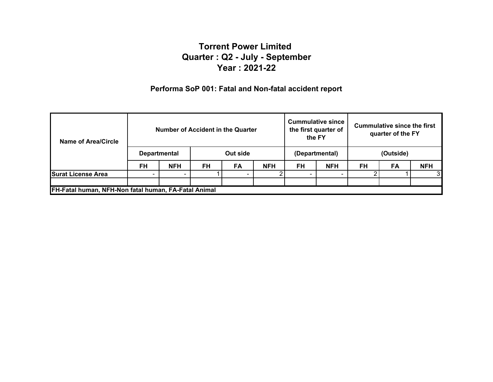### **Performa SoP 001: Fatal and Non-fatal accident report**

| Name of Area/Circle                                  | Number of Accident in the Quarter |            |           |                | <b>Cummulative since</b><br>the first quarter of<br>the FY |           | Cummulative since the first<br>quarter of the FY |           |           |            |
|------------------------------------------------------|-----------------------------------|------------|-----------|----------------|------------------------------------------------------------|-----------|--------------------------------------------------|-----------|-----------|------------|
|                                                      | Out side<br><b>Departmental</b>   |            |           | (Departmental) |                                                            | (Outside) |                                                  |           |           |            |
|                                                      | FH                                | <b>NFH</b> | <b>FH</b> | <b>FA</b>      | <b>NFH</b>                                                 | FH        | <b>NFH</b>                                       | <b>FH</b> | <b>FA</b> | <b>NFH</b> |
| <b>Surat License Area</b>                            |                                   |            |           |                |                                                            |           |                                                  |           |           | 3          |
|                                                      |                                   |            |           |                |                                                            |           |                                                  |           |           |            |
| FH-Fatal human, NFH-Non fatal human, FA-Fatal Animal |                                   |            |           |                |                                                            |           |                                                  |           |           |            |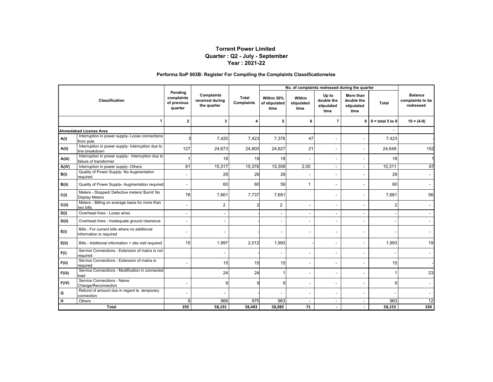#### **Performa SoP 003B: Register For Compiling the Complaints Classificationwise**

|        |                                                                             | Pending        |                                              |                     |                                     | No. of complaints redressed during the quarter |                                           |                                               |                    |                                                 |
|--------|-----------------------------------------------------------------------------|----------------|----------------------------------------------|---------------------|-------------------------------------|------------------------------------------------|-------------------------------------------|-----------------------------------------------|--------------------|-------------------------------------------------|
|        | Classification                                                              |                | Complaints<br>received during<br>the quarter | Total<br>Complaints | Within 50%<br>of stipulated<br>time | Within<br>stipulated<br>time                   | Up to<br>double the<br>stipulated<br>time | More than<br>double the<br>stipulated<br>time | <b>Total</b>       | <b>Balance</b><br>complaints to be<br>redressed |
|        | 1                                                                           | $\overline{2}$ | 3                                            | 4                   | 5                                   | 6                                              | 7                                         | 8                                             | $9 =$ total 5 to 8 | $10 = (4-9)$                                    |
|        | <b>Ahmedabad License Area</b>                                               |                |                                              |                     |                                     |                                                |                                           |                                               |                    |                                                 |
| A(i)   | Interruption in power supply- Loose connections<br>from pole                |                | 7,420                                        | 7,423               | 7,376                               | 47                                             | ٠                                         |                                               | 7,423              |                                                 |
| A(ii)  | Interruption in power supply- Interruption due to<br>line breakdown         | 127            | 24,673                                       | 24,800              | 24,627                              | 21                                             | ٠                                         |                                               | 24,648             | 152                                             |
| A(iii) | Interruption in power supply- Interruption due to<br>failure of transformer |                | 18                                           | 19                  | 18                                  |                                                | ٠                                         |                                               | 18                 |                                                 |
| A(iV)  | Interruption in power supply- Others                                        | 61             | 15,317                                       | 15,378              | 15,309                              | 2.00                                           | $\blacksquare$                            | $\blacksquare$                                | 15,311             | 67                                              |
| B(i)   | Quality of Power Supply- No Augmentation<br>reauired                        |                | 29                                           | 29                  | 29                                  |                                                |                                           |                                               | 29                 |                                                 |
| B(ii)  | Quality of Power Supply- Augmentation required                              |                | 60                                           | 60                  | 59                                  | -1                                             | $\overline{\phantom{0}}$                  |                                               | 60                 |                                                 |
| C(i)   | Meters - Stopped/ Defective meters/ Burnt/ No<br><b>Display Meters</b>      | 76             | 7,661                                        | 7,737               | 7.681                               |                                                |                                           |                                               | 7.681              | 56                                              |
| C(i)   | Meters - Billing on average basis for more than<br>two bills                |                | $\overline{2}$                               |                     | $\overline{c}$                      |                                                |                                           |                                               | $\overline{2}$     |                                                 |
| D(i)   | Overhead lines - Loose wires                                                |                |                                              |                     | $\overline{\phantom{a}}$            | $\overline{\phantom{a}}$                       | $\blacksquare$                            |                                               |                    |                                                 |
| D(i)   | Overhead lines - Inadequate ground clearance                                |                |                                              |                     | $\sim$                              |                                                |                                           |                                               |                    |                                                 |
| E(i)   | Bills - For current bills where no additional<br>information is required    |                |                                              |                     | $\overline{\phantom{a}}$            |                                                |                                           |                                               |                    |                                                 |
| E(ii)  | Bills - Additional information + site visit required                        | 15             | 1,997                                        | 2,012               | 1,993                               |                                                |                                           |                                               | 1,993              | 19                                              |
| F(i)   | Service Connections - Extension of mains is not<br>reauired                 |                |                                              |                     |                                     |                                                |                                           |                                               |                    |                                                 |
| F(ii)  | Service Connections - Extension of mains is<br>required                     |                | 15                                           | 15                  | 15                                  | $\overline{\phantom{a}}$                       | $\blacksquare$                            |                                               | 15                 |                                                 |
| F(iii) | Service Connections - Modification in connected<br>load                     |                | 24                                           | 24                  |                                     | ٠                                              |                                           |                                               |                    | 23                                              |
| F(iV)  | Service Connections - Name<br>Change/Reconnection                           |                | 9                                            |                     | 9                                   |                                                |                                           |                                               | 9                  |                                                 |
| G      | Refund of amount due in regard to temporary<br>connection                   |                |                                              |                     |                                     | $\overline{\phantom{a}}$                       | $\overline{\phantom{0}}$                  |                                               |                    |                                                 |
| н      | Others                                                                      | 9              | 966                                          | 975                 | 963                                 |                                                | $\blacksquare$                            |                                               | 963                | 12                                              |
|        | <b>Total</b>                                                                | 292            | 58,191                                       | 58,483              | 58,082                              | 71                                             | $\overline{\phantom{a}}$                  |                                               | 58,153             | 330                                             |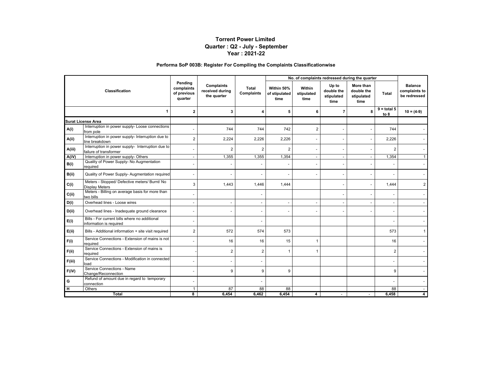#### **Performa SoP 003B: Register For Compiling the Complaints Classificationwise**

|                |                                                                             |                                                 |                                                     |                            |                                     | No. of complaints redressed during the quarter |                                           |                                               |                       |                                                 |
|----------------|-----------------------------------------------------------------------------|-------------------------------------------------|-----------------------------------------------------|----------------------------|-------------------------------------|------------------------------------------------|-------------------------------------------|-----------------------------------------------|-----------------------|-------------------------------------------------|
| Classification |                                                                             | Pendina<br>complaints<br>of previous<br>quarter | <b>Complaints</b><br>received during<br>the quarter | <b>Total</b><br>Complaints | Within 50%<br>of stipulated<br>time | Within<br>stipulated<br>time                   | Up to<br>double the<br>stipulated<br>time | More than<br>double the<br>stipulated<br>time | Total                 | <b>Balance</b><br>complaints to<br>be redressed |
|                |                                                                             | $\overline{2}$                                  | 3                                                   | Δ                          | 5                                   | 6                                              | 7                                         | 8                                             | $9 =$ total 5<br>to 8 | $10 = (4-9)$                                    |
|                | <b>Surat License Area</b>                                                   |                                                 |                                                     |                            |                                     |                                                |                                           |                                               |                       |                                                 |
| A(i)           | Interruption in power supply- Loose connections<br>from pole                |                                                 | 744                                                 | 744                        | 742                                 | $\overline{2}$                                 | $\blacksquare$                            |                                               | 744                   |                                                 |
| A(ii)          | Interruption in power supply- Interruption due to<br>line breakdown         | $\overline{2}$                                  | 2,224                                               | 2,226                      | 2,226                               |                                                |                                           |                                               | 2,226                 |                                                 |
| A(iii)         | Interruption in power supply- Interruption due to<br>failure of transformer |                                                 | $\overline{2}$                                      | $\overline{2}$             | $\overline{2}$                      | ÷.                                             |                                           |                                               | $\overline{2}$        |                                                 |
| A(iV)          | Interruption in power supply- Others                                        | $\sim$                                          | 1,355                                               | 1,355                      | 1,354                               | $\sim$                                         | $\overline{\phantom{a}}$                  | $\sim$                                        | 1,354                 |                                                 |
| B(i)           | Quality of Power Supply- No Augmentation<br>required                        |                                                 |                                                     |                            |                                     |                                                |                                           |                                               |                       |                                                 |
| B(ii)          | Quality of Power Supply- Augmentation required                              | $\overline{\phantom{a}}$                        | $\overline{a}$                                      |                            |                                     |                                                | $\blacksquare$                            |                                               |                       |                                                 |
| C(i)           | Meters - Stopped/ Defective meters/ Burnt/ No<br><b>Display Meters</b>      | 3                                               | 1,443                                               | 1,446                      | 1,444                               |                                                | $\overline{a}$                            |                                               | 1,444                 | 2                                               |
| C(i)           | Meters - Billing on average basis for more than<br>two bills                |                                                 |                                                     |                            |                                     |                                                | $\overline{\phantom{a}}$                  |                                               |                       |                                                 |
| D(i)           | Overhead lines - Loose wires                                                |                                                 | $\sim$                                              |                            |                                     |                                                |                                           |                                               |                       |                                                 |
| D(ii)          | Overhead lines - Inadequate ground clearance                                | $\overline{\phantom{a}}$                        |                                                     |                            |                                     |                                                |                                           |                                               |                       |                                                 |
| E(i)           | Bills - For current bills where no additional<br>information is required    |                                                 |                                                     |                            |                                     |                                                |                                           |                                               |                       |                                                 |
| E(ii)          | Bills - Additional information + site visit required                        | $\overline{2}$                                  | 572                                                 | 574                        | 573                                 |                                                |                                           |                                               | 573                   |                                                 |
| F(i)           | Service Connections - Extension of mains is not<br>required                 |                                                 | 16                                                  | 16                         | 15                                  | $\overline{1}$                                 |                                           |                                               | 16                    |                                                 |
| F(ii)          | Service Connections - Extension of mains is<br>required                     |                                                 | $\overline{2}$                                      | $\overline{2}$             | $\overline{1}$                      | 1                                              |                                           |                                               | $\overline{2}$        |                                                 |
| F(iii)         | Service Connections - Modification in connected<br>load                     |                                                 | $\blacksquare$                                      |                            |                                     |                                                |                                           |                                               |                       |                                                 |
| F(iV)          | Service Connections - Name<br>Change/Reconnection                           |                                                 | 9                                                   | 9                          | 9                                   |                                                |                                           |                                               | 9                     |                                                 |
| G              | Refund of amount due in regard to temporary<br>connection                   |                                                 |                                                     |                            |                                     |                                                |                                           |                                               |                       |                                                 |
| н              | Others                                                                      | $\overline{1}$                                  | 87                                                  | 88                         | 88                                  |                                                |                                           |                                               | 88                    |                                                 |
|                | Total                                                                       | 8                                               | 6,454                                               | 6,462                      | 6,454                               | 4                                              |                                           |                                               | 6,458                 |                                                 |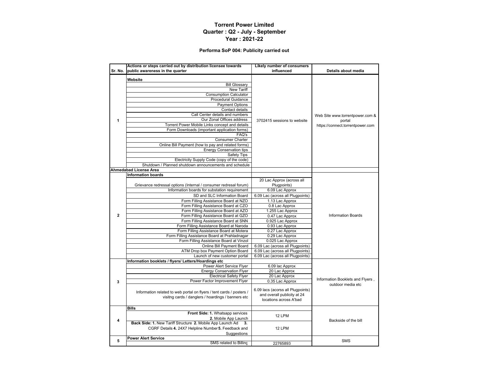#### **Performa SoP 004: Publicity carried out**

|                | Actions or steps carried out by distribution licensee towards                                                                                                                                                                                                                                                                                                                                                                                                                                                                                                                                 | <b>Likely number of consumers</b>                                                          |                                                                               |  |
|----------------|-----------------------------------------------------------------------------------------------------------------------------------------------------------------------------------------------------------------------------------------------------------------------------------------------------------------------------------------------------------------------------------------------------------------------------------------------------------------------------------------------------------------------------------------------------------------------------------------------|--------------------------------------------------------------------------------------------|-------------------------------------------------------------------------------|--|
| Sr. No.        | public awareness in the quarter                                                                                                                                                                                                                                                                                                                                                                                                                                                                                                                                                               | influenced                                                                                 | Details about media                                                           |  |
| 1              | Website<br><b>Bill Glossary</b><br><b>New Tariff</b><br><b>Consumption Calculator</b><br><b>Procedural Guidance</b><br><b>Payment Options</b><br>Contact details<br>Call Center details and numbers<br>Our Zonal Offices address<br>Torrent Power Mobile Links concept and details<br>Form Downloads (important application forms)<br>FAQ's<br><b>Consumer Charter</b><br>Online Bill Payment (how to pay and related forms)<br><b>Energy Conservation tips</b><br><b>Safety Tips</b><br>Electricity Supply Code (copy of the code)<br>Shutdown / Planned shutdown announcements and schedule | 3702415 sessions to website                                                                | Web Site www.torrentpower.com &<br>portal<br>https://connect.torrentpower.com |  |
|                | Ahmedabad License Area                                                                                                                                                                                                                                                                                                                                                                                                                                                                                                                                                                        |                                                                                            |                                                                               |  |
|                | <b>Information boards</b>                                                                                                                                                                                                                                                                                                                                                                                                                                                                                                                                                                     |                                                                                            |                                                                               |  |
|                |                                                                                                                                                                                                                                                                                                                                                                                                                                                                                                                                                                                               | 20 Lac Approx (across all                                                                  |                                                                               |  |
|                | Grievance redressal options (Internal / consumer redresal forum)                                                                                                                                                                                                                                                                                                                                                                                                                                                                                                                              | Plugpoints)                                                                                |                                                                               |  |
|                | Information boards for substation requirement                                                                                                                                                                                                                                                                                                                                                                                                                                                                                                                                                 | 6.09 Lac Approx                                                                            |                                                                               |  |
|                | SD and SLC Information Board                                                                                                                                                                                                                                                                                                                                                                                                                                                                                                                                                                  | 6.09 Lac (across all Plugpoints)                                                           |                                                                               |  |
|                | Form Filling Assistance Board at NZO                                                                                                                                                                                                                                                                                                                                                                                                                                                                                                                                                          | 1.13 Lac Approx                                                                            |                                                                               |  |
|                | Form Filling Assistance Board at CZO                                                                                                                                                                                                                                                                                                                                                                                                                                                                                                                                                          | 0.8 Lac Approx                                                                             |                                                                               |  |
| $\overline{2}$ | Form Filling Assistance Board at AZO<br>Form Filling Assistance Board at GZO                                                                                                                                                                                                                                                                                                                                                                                                                                                                                                                  | 1.255 Lac Approx                                                                           | <b>Information Boards</b>                                                     |  |
|                | Form Filling Assistance Board at SNN                                                                                                                                                                                                                                                                                                                                                                                                                                                                                                                                                          | 0.47 Lac Approx<br>0.925 Lac Approx                                                        |                                                                               |  |
|                | Form Filling Assistance Board at Naroda                                                                                                                                                                                                                                                                                                                                                                                                                                                                                                                                                       | 0.93 Lac Approx                                                                            |                                                                               |  |
|                | Form Filling Assistance Board at Motera                                                                                                                                                                                                                                                                                                                                                                                                                                                                                                                                                       | 0.27 Lac Approx                                                                            |                                                                               |  |
|                | Form Filling Assistance Board at Prahladnagar                                                                                                                                                                                                                                                                                                                                                                                                                                                                                                                                                 | 0.29 Lac Approx                                                                            |                                                                               |  |
|                | Form Filling Assistance Board at Vinzol                                                                                                                                                                                                                                                                                                                                                                                                                                                                                                                                                       | 0.025 Lac Approx                                                                           |                                                                               |  |
|                | Online Bill Payment Board                                                                                                                                                                                                                                                                                                                                                                                                                                                                                                                                                                     | 6.09 Lac (across all Plugpoints)                                                           |                                                                               |  |
|                | ATM Drop box Payment Option Board                                                                                                                                                                                                                                                                                                                                                                                                                                                                                                                                                             | 6.09 Lac (across all Plugpoints)                                                           |                                                                               |  |
|                | Launch of new customer portal                                                                                                                                                                                                                                                                                                                                                                                                                                                                                                                                                                 | 6.09 Lac (across all Plugpoints)                                                           |                                                                               |  |
|                | Information booklets / flyers/ Letters/Hoardings etc                                                                                                                                                                                                                                                                                                                                                                                                                                                                                                                                          |                                                                                            |                                                                               |  |
|                | Power Alert Service Flyer<br><b>Energy Conservation Flyer</b>                                                                                                                                                                                                                                                                                                                                                                                                                                                                                                                                 | 6.09 lac Approx<br>20 Lac Approx                                                           |                                                                               |  |
|                | <b>Electrical Safety Flyer</b>                                                                                                                                                                                                                                                                                                                                                                                                                                                                                                                                                                | 20 Lac Approx                                                                              |                                                                               |  |
| 3              | Power Factor Improvement Flyer                                                                                                                                                                                                                                                                                                                                                                                                                                                                                                                                                                | 0.35 Lac Approx                                                                            | Information Booklets and Flyers,                                              |  |
|                | Information related to web portal on flyers / tent cards / posters /<br>visitng cards / danglers / hoardings / banners etc                                                                                                                                                                                                                                                                                                                                                                                                                                                                    | 6.09 lacs (acorss all Plugpoints)<br>and overall publicity at 24<br>locations across A'bad | outdoor media etc                                                             |  |
|                | <b>Bills</b>                                                                                                                                                                                                                                                                                                                                                                                                                                                                                                                                                                                  |                                                                                            |                                                                               |  |
|                | Front Side: 1. Whatsapp services                                                                                                                                                                                                                                                                                                                                                                                                                                                                                                                                                              |                                                                                            |                                                                               |  |
| 4              | 2. Mobile App Launch                                                                                                                                                                                                                                                                                                                                                                                                                                                                                                                                                                          | 12 LPM                                                                                     | Backside of the bill                                                          |  |
|                | Back Side: 1. New Tariff Structure 2. Mobile App Launch Ad                                                                                                                                                                                                                                                                                                                                                                                                                                                                                                                                    |                                                                                            |                                                                               |  |
|                | CGRF Details 4. 24X7 Helpline Number 5. Feedback and                                                                                                                                                                                                                                                                                                                                                                                                                                                                                                                                          | 12 LPM                                                                                     |                                                                               |  |
|                | Suggestions                                                                                                                                                                                                                                                                                                                                                                                                                                                                                                                                                                                   |                                                                                            |                                                                               |  |
| 5              | <b>Power Alert Service</b>                                                                                                                                                                                                                                                                                                                                                                                                                                                                                                                                                                    |                                                                                            | <b>SMS</b>                                                                    |  |
|                | SMS related to Billing                                                                                                                                                                                                                                                                                                                                                                                                                                                                                                                                                                        | 22765893                                                                                   |                                                                               |  |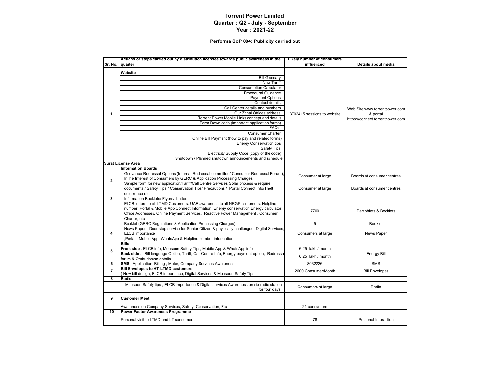#### **Performa SoP 004: Publicity carried out**

|                | Actions or steps carried out by distribution licensee towards public awareness in the                   | <b>Likely number of consumers</b> |                                  |  |
|----------------|---------------------------------------------------------------------------------------------------------|-----------------------------------|----------------------------------|--|
| Sr. No.        | quarter                                                                                                 | influenced                        | Details about media              |  |
|                | Website                                                                                                 |                                   |                                  |  |
|                | <b>Bill Glossary</b>                                                                                    |                                   |                                  |  |
|                | <b>New Tariff</b>                                                                                       |                                   |                                  |  |
|                | <b>Consumption Calculator</b>                                                                           |                                   |                                  |  |
|                | <b>Procedural Guidance</b>                                                                              |                                   |                                  |  |
|                | <b>Payment Options</b>                                                                                  |                                   |                                  |  |
|                | Contact details                                                                                         |                                   |                                  |  |
|                | Call Center details and numbers                                                                         |                                   | Web Site www.torrentpower.com    |  |
| $\mathbf{1}$   | Our Zonal Offices address                                                                               | 3702415 sessions to website       | & portal                         |  |
|                | Torrent Power Mobile Links concept and details                                                          |                                   | https://connect.torrentpower.com |  |
|                | Form Downloads (important application forms)                                                            |                                   |                                  |  |
|                | FAQ's                                                                                                   |                                   |                                  |  |
|                | Consumer Charter                                                                                        |                                   |                                  |  |
|                | Online Bill Payment (how to pay and related forms)                                                      |                                   |                                  |  |
|                | <b>Energy Conservation tips</b>                                                                         |                                   |                                  |  |
|                | Safety Tips                                                                                             |                                   |                                  |  |
|                | Electricity Supply Code (copy of the code)                                                              |                                   |                                  |  |
|                | Shutdown / Planned shutdown announcements and schedule                                                  |                                   |                                  |  |
|                | <b>Surat License Area</b>                                                                               |                                   |                                  |  |
|                | <b>Information Boards</b>                                                                               |                                   |                                  |  |
|                | Grievance Redressal Options (Internal Redressal committee/ Consumer Redressal Forum),                   | Consumer at large                 | Boards at consumer centres       |  |
| $\overline{2}$ | In the Interest of Consumers by GERC & Application Processing Charges                                   |                                   |                                  |  |
|                | Sample form for new application/Tariff/Call Centre Services Solar process & require                     |                                   |                                  |  |
|                | documents / Safety Tips / Conservation Tips/ Precautions / Portal Connect Info/Theft                    | Consumer at large                 | Boards at consumer centres       |  |
| 3              | deterrence etc.<br>Information Booklets/ Flyers/ Letters                                                |                                   |                                  |  |
|                | ELCB letters to all LTMD Customers, UAE awareness to all NRGP customers, Helpline                       |                                   |                                  |  |
|                | number, Portal & Mobile App Connect Information, Energy conservation, Energy calculator,                |                                   |                                  |  |
|                | Office Addresses, Online Payment Services, Reactive Power Management, Consumer                          | 7700                              | Pamphlets & Booklets             |  |
|                | Charter, etc                                                                                            |                                   |                                  |  |
|                | Booklet (GERC Regulations & Application Processing Charges)                                             | 5                                 | <b>Booklet</b>                   |  |
|                | News Paper - Door step service for Senior Citizen & physically challenged, Digital Services,            |                                   |                                  |  |
| 4              | ELCB importance                                                                                         | Consumers at large                | News Paper                       |  |
|                | ,Portal, Mobile App, WhatsApp & Helpline number information                                             |                                   |                                  |  |
|                | <b>Bills</b>                                                                                            |                                   |                                  |  |
| 5              | Front side : ELCB info, Monsoon Safety Tips, Mobile App & WhatsApp info                                 | 6.25 lakh / month                 |                                  |  |
|                | Back side: Bill language Option, Tariff, Call Centre Info, Energy payment option, Redressa              | 6.25 lakh / month                 | <b>Energy Bill</b>               |  |
|                | forum & Ombudsman details                                                                               |                                   |                                  |  |
| 6              | <b>SMS</b> - Application, Billing, Meter, Company Services Awareness.                                   | 8032226                           | <b>SMS</b>                       |  |
| $\overline{7}$ | <b>Bill Envelopes to HT-LTMD customers</b>                                                              | 2600 Consumer/Month               | <b>Bill Envelopes</b>            |  |
|                | New bill design, ELCB importance, Digital Services & Monsoon Safety Tips                                |                                   |                                  |  |
| 8              | Radio                                                                                                   |                                   |                                  |  |
|                | Monsoon Safety tips, ELCB Importance & Digital services Awareness on six radio station<br>for four days | Consumers at large                | Radio                            |  |
| 9              | <b>Customer Meet</b>                                                                                    |                                   |                                  |  |
|                | Awareness on Company Services, Safety, Conservation, Etc                                                | 21 consumers                      |                                  |  |
| 10             | <b>Power Factor Awareness Programme</b>                                                                 |                                   |                                  |  |
|                | Personal visit to LTMD and LT consumers                                                                 | 78                                | Personal Interaction             |  |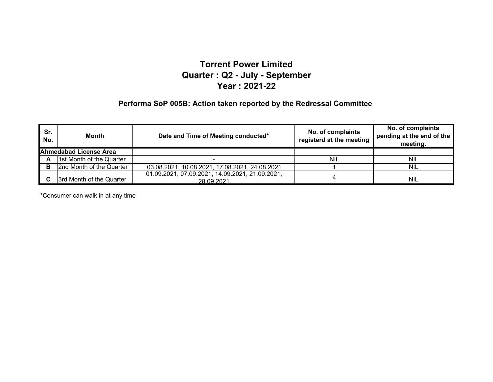#### **Performa SoP 005B: Action taken reported by the Redressal Committee**

| Sr.<br>No. | Month                         | Date and Time of Meeting conducted*                           | No. of complaints<br>registerd at the meeting | No. of complaints<br>pending at the end of the<br>meeting. |
|------------|-------------------------------|---------------------------------------------------------------|-----------------------------------------------|------------------------------------------------------------|
|            | <b>Ahmedabad License Area</b> |                                                               |                                               |                                                            |
| A          | 1st Month of the Quarter      |                                                               | <b>NIL</b>                                    | NIL                                                        |
| в          | 2nd Month of the Quarter      | 03.08.2021, 10.08.2021, 17.08.2021, 24.08.2021                |                                               | <b>NIL</b>                                                 |
|            | 3rd Month of the Quarter      | 01.09.2021, 07.09.2021, 14.09.2021, 21.09.2021,<br>28.09.2021 |                                               | <b>NIL</b>                                                 |

\*Consumer can walk in at any time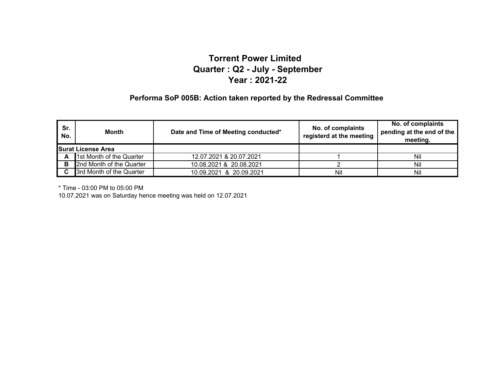#### **Performa SoP 005B: Action taken reported by the Redressal Committee**

| Sr.<br>No.                | <b>Month</b>             | Date and Time of Meeting conducted*<br>registerd at the meeting |     | No. of complaints<br>pending at the end of the<br>meeting. |
|---------------------------|--------------------------|-----------------------------------------------------------------|-----|------------------------------------------------------------|
| <b>Surat License Area</b> |                          |                                                                 |     |                                                            |
| A                         | 1st Month of the Quarter | 12.07.2021 & 20.07.2021                                         |     | Nil                                                        |
| в                         | 2nd Month of the Quarter | 10.08.2021 & 20.08.2021                                         |     | Nil                                                        |
|                           | 3rd Month of the Quarter | 10.09.2021 & 20.09.2021                                         | Nil | Nil                                                        |

\* Time - 03:00 PM to 05:00 PM

10.07.2021 was on Saturday hence meeting was held on 12.07.2021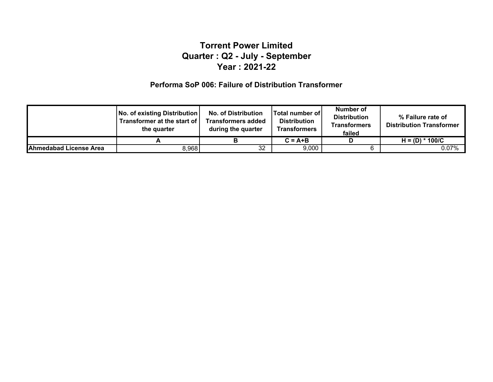#### **Performa SoP 006: Failure of Distribution Transformer**

|                               | No. of existing Distribution<br>Transformer at the start of<br>the quarter | <b>No. of Distribution</b><br><b>Transformers added</b><br>during the quarter | <b>Total number of</b><br><b>Distribution</b><br><b>Transformers</b> | Number of<br><b>Distribution</b><br><b>Transformers</b><br>failed | % Failure rate of<br><b>Distribution Transformer</b> |
|-------------------------------|----------------------------------------------------------------------------|-------------------------------------------------------------------------------|----------------------------------------------------------------------|-------------------------------------------------------------------|------------------------------------------------------|
|                               |                                                                            |                                                                               | $C = A + B$                                                          |                                                                   | 100/C<br>$H = (D) *$                                 |
| <b>Ahmedabad License Area</b> | 8,968                                                                      | 32                                                                            | 9,000                                                                |                                                                   | 0.07%                                                |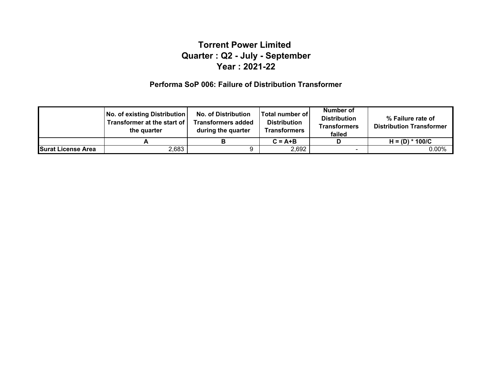#### **Performa SoP 006: Failure of Distribution Transformer**

|                           | No. of existing Distribution<br><b>Transformer at the start of  </b><br>the quarter | <b>No. of Distribution</b><br><b>Transformers added</b><br>during the quarter | Total number of<br><b>Distribution</b><br><b>Transformers</b> | Number of<br><b>Distribution</b><br><b>Transformers</b><br>failed | % Failure rate of<br><b>Distribution Transformer</b> |
|---------------------------|-------------------------------------------------------------------------------------|-------------------------------------------------------------------------------|---------------------------------------------------------------|-------------------------------------------------------------------|------------------------------------------------------|
|                           |                                                                                     |                                                                               | $C = A + B$                                                   | D                                                                 | $H = (D) * 100/C$                                    |
| <b>Surat License Area</b> | 2,683                                                                               |                                                                               | 2,692                                                         | -                                                                 | $0.00\%$                                             |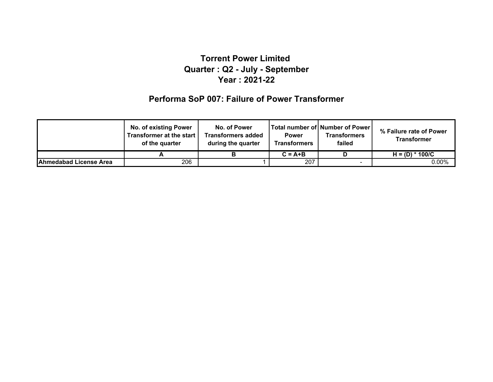### **Performa SoP 007: Failure of Power Transformer**

|                               | <b>No. of existing Power</b><br>Transformer at the start<br>of the quarter | No. of Power<br>Transformers added<br>during the quarter | <b>Power</b><br><b>Transformers</b> | Total number of   Number of Power  <br><b>Transformers</b><br>failed | % Failure rate of Power<br><b>Transformer</b> |
|-------------------------------|----------------------------------------------------------------------------|----------------------------------------------------------|-------------------------------------|----------------------------------------------------------------------|-----------------------------------------------|
|                               |                                                                            |                                                          | $C = A + B$                         |                                                                      | $H = (D) * 100/C$                             |
| <b>Ahmedabad License Area</b> | 206                                                                        |                                                          | 207                                 |                                                                      | $0.00\%$                                      |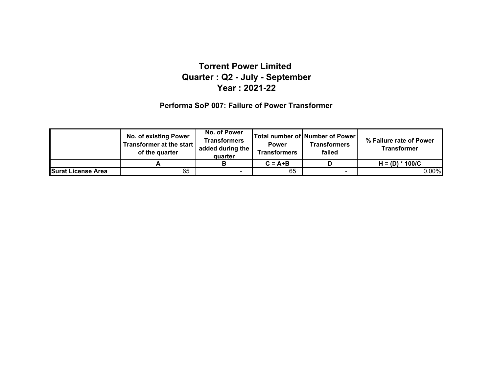#### **Performa SoP 007: Failure of Power Transformer**

|                           | <b>No. of existing Power</b><br>Transformer at the start<br>of the quarter | No. of Power<br>Transformers<br>added during the<br>quarter | <b>Power</b><br><b>Transformers</b> | Total number of Number of Power<br><b>Transformers</b><br>failed | % Failure rate of Power<br><b>Transformer</b> |
|---------------------------|----------------------------------------------------------------------------|-------------------------------------------------------------|-------------------------------------|------------------------------------------------------------------|-----------------------------------------------|
|                           |                                                                            |                                                             | $C = A + B$                         |                                                                  | $H = (D) * 100/C$                             |
| <b>Surat License Area</b> | 65                                                                         | $\sim$                                                      | 65                                  | $\sim$                                                           | 0.00%                                         |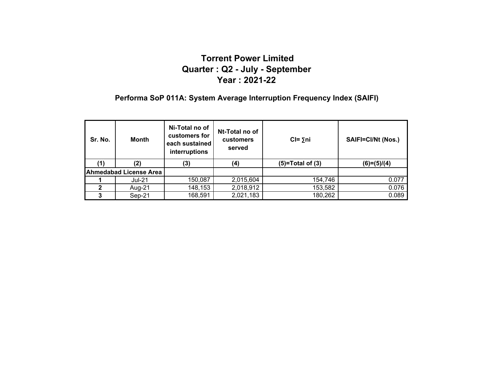### **Performa SoP 011A: System Average Interruption Frequency Index (SAIFI)**

| Sr. No. | Month                         | Ni-Total no of<br>customers for<br>each sustained<br>interruptions | Nt-Total no of<br>customers<br>served | $CI = \Sigma ni$   | <b>SAIFI=CI/Nt (Nos.)</b> |
|---------|-------------------------------|--------------------------------------------------------------------|---------------------------------------|--------------------|---------------------------|
|         | (2)                           | (3)                                                                | (4)                                   | $(5)=Total of (3)$ | $(6)=(5)/(4)$             |
|         | <b>Ahmedabad License Area</b> |                                                                    |                                       |                    |                           |
|         | <b>Jul-21</b>                 | 150,087                                                            | 2,015,604                             | 154,746            | 0.077                     |
|         | Aug-21                        | 148,153                                                            | 2,018,912                             | 153,582            | 0.076                     |
|         | Sep-21                        | 168,591                                                            | 2,021,183                             | 180,262            | 0.089                     |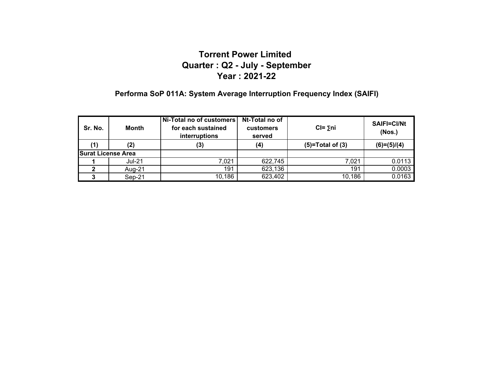# **Performa SoP 011A: System Average Interruption Frequency Index (SAIFI)**

| Sr. No.<br><b>Month</b>   |               | Nt-Total no of<br>Ni-Total no of customers<br>for each sustained<br><b>customers</b><br>interruptions<br>served |         | $CI = 5ni$         | <b>SAIFI=CI/Nt</b><br>(Nos.) |
|---------------------------|---------------|-----------------------------------------------------------------------------------------------------------------|---------|--------------------|------------------------------|
| (1)                       | (2)           | (3)                                                                                                             | (4)     | $(5)=Total of (3)$ | $(6)=(5)/(4)$                |
| <b>Surat License Area</b> |               |                                                                                                                 |         |                    |                              |
|                           | <b>Jul-21</b> | 7.021                                                                                                           | 622,745 | 7.021              | 0.0113                       |
|                           | Aug-21        | 191                                                                                                             | 623,136 | 191                | 0.0003                       |
|                           | Sep-21        | 10,186                                                                                                          | 623,402 | 10,186             | 0.0163                       |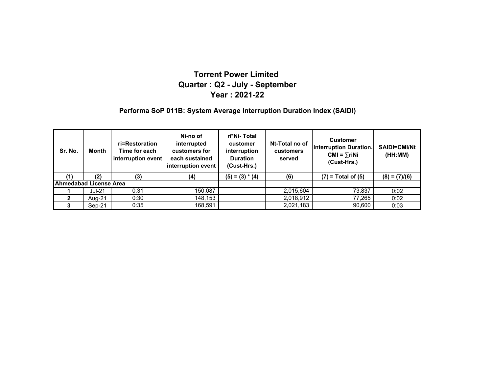#### **Performa SoP 011B: System Average Interruption Duration Index (SAIDI)**

| Sr. No.                | <b>Month</b> | ri=Restoration<br>Time for each<br>interruption event | Ni-no of<br>interrupted<br>customers for<br>each sustained<br>interruption event | ri*Ni- Total<br>customer<br>interruption<br><b>Duration</b><br>(Cust-Hrs.) | Nt-Total no of<br>customers<br>served | <b>Customer</b><br><b>Interruption Duration.</b><br>$CMI = \sum r i Ni$<br>(Cust-Hrs.) | SAIDI=CMI/Nt<br>(HH:MM) |
|------------------------|--------------|-------------------------------------------------------|----------------------------------------------------------------------------------|----------------------------------------------------------------------------|---------------------------------------|----------------------------------------------------------------------------------------|-------------------------|
| (1)                    | (2)          | (3)                                                   | (4)                                                                              | $(5) = (3) * (4)$                                                          | (6)                                   | $(7)$ = Total of $(5)$                                                                 | $(8) = (7)/(6)$         |
| Ahmedabad License Area |              |                                                       |                                                                                  |                                                                            |                                       |                                                                                        |                         |
|                        | $Jul-21$     | 0:31                                                  | 150,087                                                                          |                                                                            | 2,015,604                             | 73,837                                                                                 | 0:02                    |
|                        | Aug-21       | 0:30                                                  | 148,153                                                                          |                                                                            | 2,018,912                             | 77,265                                                                                 | 0:02                    |
|                        | Sep-21       | 0:35                                                  | 168,591                                                                          |                                                                            | 2,021,183                             | 90,600                                                                                 | 0:03                    |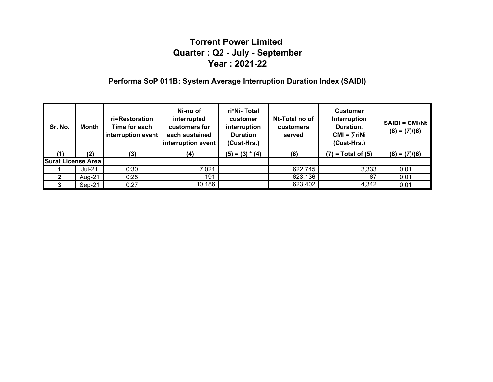### **Performa SoP 011B: System Average Interruption Duration Index (SAIDI)**

| Sr. No.                   | <b>Month</b>  | ri=Restoration<br>Time for each<br>interruption event | Ni-no of<br>interrupted<br>customers for<br>each sustained<br>interruption event | ri*Ni- Total<br>customer<br>interruption<br><b>Duration</b><br>(Cust-Hrs.) | Nt-Total no of<br><b>customers</b><br>served | <b>Customer</b><br>Interruption<br>Duration.<br>$CMI = \sum r i Ni$<br>(Cust-Hrs.) | $SAIDI = CMI/Nt$<br>$(8) = (7)/(6)$ |
|---------------------------|---------------|-------------------------------------------------------|----------------------------------------------------------------------------------|----------------------------------------------------------------------------|----------------------------------------------|------------------------------------------------------------------------------------|-------------------------------------|
|                           | (2)           | (3)                                                   | (4)                                                                              | $(5) = (3) * (4)$                                                          | (6)                                          | $(7)$ = Total of $(5)$                                                             | $(8) = (7)/(6)$                     |
| <b>Surat License Area</b> |               |                                                       |                                                                                  |                                                                            |                                              |                                                                                    |                                     |
|                           | <b>Jul-21</b> | 0:30                                                  | 7,021                                                                            |                                                                            | 622,745                                      | 3,333                                                                              | 0:01                                |
| 2                         | Aug-21        | 0:25                                                  | 191                                                                              |                                                                            | 623,136                                      | 67                                                                                 | 0:01                                |
|                           | Sep-21        | 0:27                                                  | 10,186                                                                           |                                                                            | 623,402                                      | 4,342                                                                              | 0:01                                |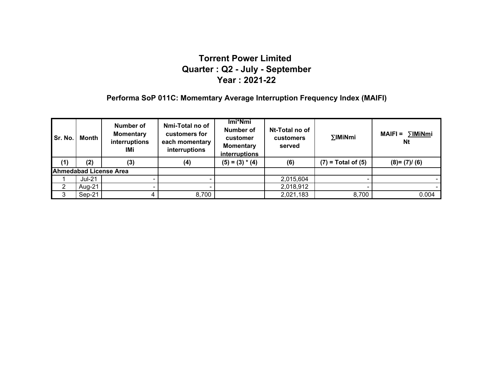### **Performa SoP 011C: Momemtary Average Interruption Frequency Index (MAIFI)**

| Sr. No. | Month    | Number of<br><b>Momentary</b><br>interruptions<br>IMi | Nmi-Total no of<br>customers for<br>each momentary<br>interruptions | Imi*Nmi<br>Number of<br>customer<br><b>Momentary</b><br>interruptions | Nt-Total no of<br><b>customers</b><br>served | $\Sigma$ IMiNmi        | ∑IMiNmi<br>$MAIFI =$<br><b>Nt</b> |
|---------|----------|-------------------------------------------------------|---------------------------------------------------------------------|-----------------------------------------------------------------------|----------------------------------------------|------------------------|-----------------------------------|
| (1)     | (2)      | (3)                                                   | (4)                                                                 | $(5) = (3) * (4)$                                                     | (6)                                          | $(7)$ = Total of $(5)$ | $(8)=(7)/(6)$                     |
|         |          | <b>Ahmedabad License Area</b>                         |                                                                     |                                                                       |                                              |                        |                                   |
|         | $Jul-21$ |                                                       |                                                                     |                                                                       | 2,015,604                                    |                        |                                   |
|         | Aug-21   |                                                       |                                                                     |                                                                       | 2,018,912                                    |                        |                                   |
| -3      | $Sep-21$ |                                                       | 8,700                                                               |                                                                       | 2,021,183                                    | 8,700                  | 0.004                             |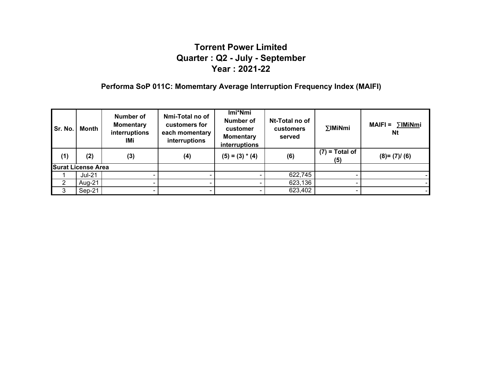### **Performa SoP 011C: Momemtary Average Interruption Frequency Index (MAIFI)**

| Sr. No. | Month                     | Number of<br><b>Momentary</b><br>interruptions<br>IMi | Nmi-Total no of<br>customers for<br>each momentary<br>interruptions | Imi*Nmi<br>Number of<br>customer<br><b>Momentary</b><br>interruptions | Nt-Total no of<br><b>customers</b><br>served | $\Sigma$ IMiNmi         | ∑IMiNmi<br><b>MAIFI =</b><br><b>Nt</b> |
|---------|---------------------------|-------------------------------------------------------|---------------------------------------------------------------------|-----------------------------------------------------------------------|----------------------------------------------|-------------------------|----------------------------------------|
| (1)     | (2)                       | (3)                                                   | (4)                                                                 | $(5) = (3) * (4)$                                                     | (6)                                          | $(7)$ = Total of<br>(5) | $(8)=(7)/(6)$                          |
|         | <b>Surat License Area</b> |                                                       |                                                                     |                                                                       |                                              |                         |                                        |
|         | $Jul-21$                  |                                                       |                                                                     |                                                                       | 622,745                                      |                         |                                        |
| 2       | Aug-21                    |                                                       |                                                                     |                                                                       | 623,136                                      |                         |                                        |
| 3       | Sep-21                    |                                                       |                                                                     |                                                                       | 623,402                                      |                         |                                        |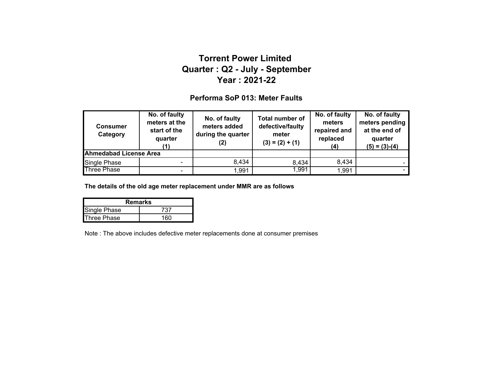#### **Performa SoP 013: Meter Faults**

| <b>Consumer</b><br>Category   | No. of faulty<br>meters at the<br>start of the<br>quarter<br>(1) | No. of faulty<br>meters added<br>during the quarter | <b>Total number of</b><br>defective/faulty<br>meter<br>$(3) = (2) + (1)$ | No. of faulty<br>meters<br>repaired and<br>replaced<br>(4) | No. of faulty<br>meters pending<br>at the end of<br>quarter<br>$(5) = (3)-(4)$ |
|-------------------------------|------------------------------------------------------------------|-----------------------------------------------------|--------------------------------------------------------------------------|------------------------------------------------------------|--------------------------------------------------------------------------------|
| <b>Ahmedabad License Area</b> |                                                                  |                                                     |                                                                          |                                                            |                                                                                |
| Single Phase                  | $\overline{a}$                                                   | 8,434                                               | 8,434                                                                    | 8,434                                                      |                                                                                |
| <b>Three Phase</b>            | ۰                                                                | 1,991                                               | 1,991                                                                    | 1,991                                                      |                                                                                |

**The details of the old age meter replacement under MMR are as follows**

| <b>Remarks</b>      |      |
|---------------------|------|
| <b>Single Phase</b> | 737  |
| <b>Three Phase</b>  | 160. |

Note : The above includes defective meter replacements done at consumer premises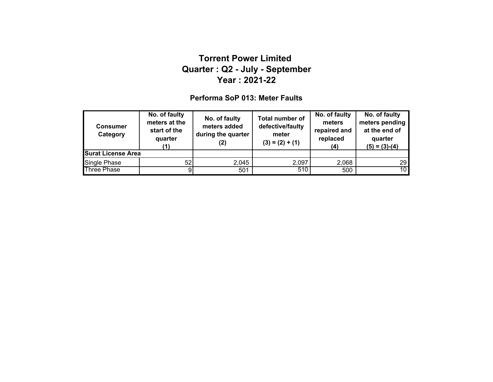#### **Performa SoP 013: Meter Faults**

| <b>Consumer</b><br>Category | No. of faulty<br>meters at the<br>start of the<br>quarter<br>71 N | No. of faulty<br>meters added<br>during the quarter<br>(2) | <b>Total number of</b><br>defective/faulty<br>meter<br>$(3) = (2) + (1)$ | No. of faulty<br>meters<br>repaired and<br>replaced<br>(4) | No. of faulty<br>meters pending<br>at the end of<br>quarter<br>$(5) = (3)-(4)$ |
|-----------------------------|-------------------------------------------------------------------|------------------------------------------------------------|--------------------------------------------------------------------------|------------------------------------------------------------|--------------------------------------------------------------------------------|
| <b>Surat License Area</b>   |                                                                   |                                                            |                                                                          |                                                            |                                                                                |
| Single Phase                | 52                                                                | 2,045                                                      | 2,097                                                                    | 2,068                                                      | 29 I                                                                           |
| <b>Three Phase</b>          | 9                                                                 | 501                                                        | 510                                                                      | 500                                                        | 10 <sup>1</sup>                                                                |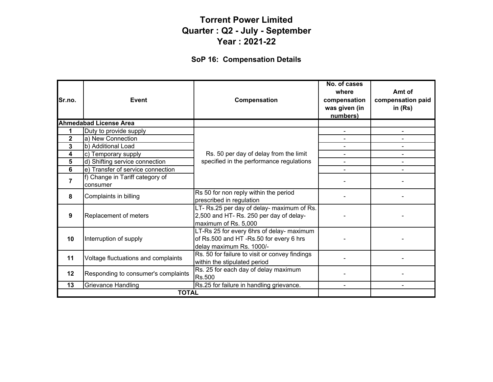# **SoP 16: Compensation Details**

| Sr.no.         | Event                                       | Compensation                                                                                                    | No. of cases<br>where<br>compensation<br>was given (in<br>numbers) | Amt of<br>compensation paid<br>in $(Rs)$ |
|----------------|---------------------------------------------|-----------------------------------------------------------------------------------------------------------------|--------------------------------------------------------------------|------------------------------------------|
|                | <b>Ahmedabad License Area</b>               |                                                                                                                 |                                                                    |                                          |
| 1              | Duty to provide supply                      |                                                                                                                 |                                                                    |                                          |
| $\mathbf 2$    | a) New Connection                           |                                                                                                                 |                                                                    |                                          |
| 3              | b) Additional Load                          |                                                                                                                 |                                                                    |                                          |
| 4              | c) Temporary supply                         | Rs. 50 per day of delay from the limit                                                                          |                                                                    |                                          |
| 5              | d) Shifting service connection              | specified in the performance regulations                                                                        |                                                                    |                                          |
| 6              | e) Transfer of service connection           |                                                                                                                 |                                                                    |                                          |
| $\overline{7}$ | f) Change in Tariff category of<br>consumer |                                                                                                                 |                                                                    |                                          |
| 8              | Complaints in billing                       | Rs 50 for non reply within the period<br>prescribed in regulation                                               |                                                                    |                                          |
| 9              | Replacement of meters                       | LT- Rs.25 per day of delay- maximum of Rs.<br>2,500 and HT- Rs. 250 per day of delay-<br>maximum of Rs. 5,000   |                                                                    |                                          |
| 10             | Interruption of supply                      | LT-Rs 25 for every 6hrs of delay- maximum<br>of Rs.500 and HT-Rs.50 for every 6 hrs<br>delay maximum Rs. 1000/- |                                                                    |                                          |
| 11             | Voltage fluctuations and complaints         | Rs. 50 for failure to visit or convey findings<br>within the stipulated period                                  |                                                                    |                                          |
| 12             | Responding to consumer's complaints         | Rs. 25 for each day of delay maximum<br>Rs.500                                                                  |                                                                    |                                          |
| 13             | Grievance Handling                          | Rs.25 for failure in handling grievance.                                                                        |                                                                    |                                          |
|                | <b>TOTAL</b>                                |                                                                                                                 |                                                                    |                                          |